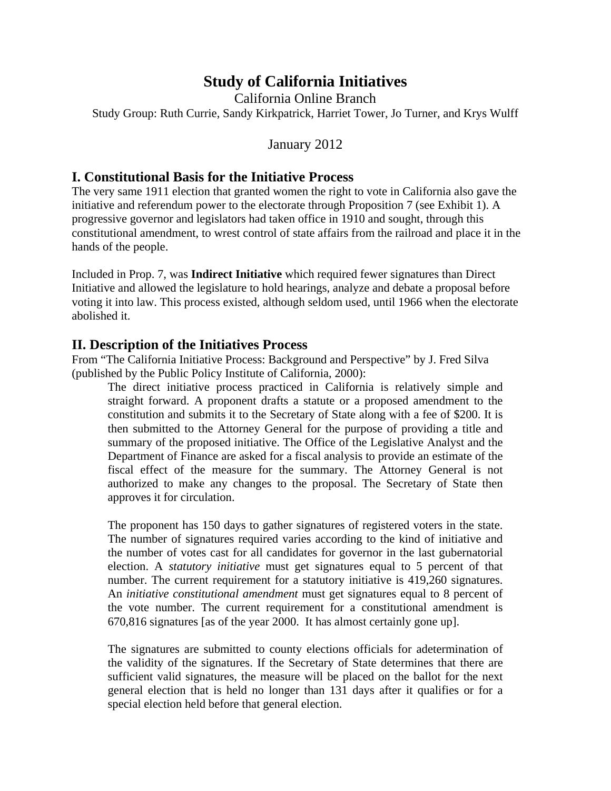# **Study of California Initiatives**

California Online Branch Study Group: Ruth Currie, Sandy Kirkpatrick, Harriet Tower, Jo Turner, and Krys Wulff

## January 2012

## **I. Constitutional Basis for the Initiative Process**

The very same 1911 election that granted women the right to vote in California also gave the initiative and referendum power to the electorate through Proposition 7 (see Exhibit 1). A progressive governor and legislators had taken office in 1910 and sought, through this constitutional amendment, to wrest control of state affairs from the railroad and place it in the hands of the people.

Included in Prop. 7, was **Indirect Initiative** which required fewer signatures than Direct Initiative and allowed the legislature to hold hearings, analyze and debate a proposal before voting it into law. This process existed, although seldom used, until 1966 when the electorate abolished it.

### **II. Description of the Initiatives Process**

From "The California Initiative Process: Background and Perspective" by J. Fred Silva (published by the Public Policy Institute of California, 2000):

The direct initiative process practiced in California is relatively simple and straight forward. A proponent drafts a statute or a proposed amendment to the constitution and submits it to the Secretary of State along with a fee of \$200. It is then submitted to the Attorney General for the purpose of providing a title and summary of the proposed initiative. The Office of the Legislative Analyst and the Department of Finance are asked for a fiscal analysis to provide an estimate of the fiscal effect of the measure for the summary. The Attorney General is not authorized to make any changes to the proposal. The Secretary of State then approves it for circulation.

The proponent has 150 days to gather signatures of registered voters in the state. The number of signatures required varies according to the kind of initiative and the number of votes cast for all candidates for governor in the last gubernatorial election. A *statutory initiative* must get signatures equal to 5 percent of that number. The current requirement for a statutory initiative is 419,260 signatures. An *initiative constitutional amendment* must get signatures equal to 8 percent of the vote number. The current requirement for a constitutional amendment is 670,816 signatures [as of the year 2000. It has almost certainly gone up].

The signatures are submitted to county elections officials for adetermination of the validity of the signatures. If the Secretary of State determines that there are sufficient valid signatures, the measure will be placed on the ballot for the next general election that is held no longer than 131 days after it qualifies or for a special election held before that general election.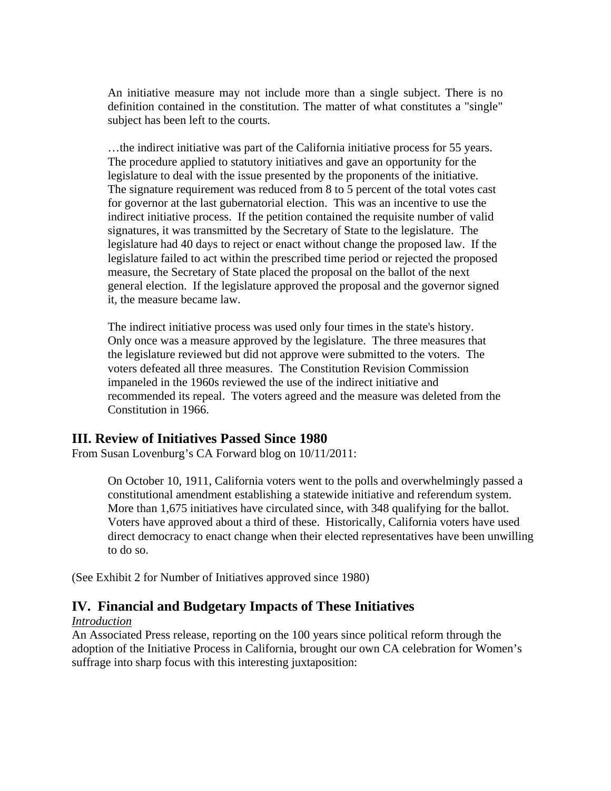An initiative measure may not include more than a single subject. There is no definition contained in the constitution. The matter of what constitutes a "single" subject has been left to the courts.

…the indirect initiative was part of the California initiative process for 55 years. The procedure applied to statutory initiatives and gave an opportunity for the legislature to deal with the issue presented by the proponents of the initiative. The signature requirement was reduced from 8 to 5 percent of the total votes cast for governor at the last gubernatorial election. This was an incentive to use the indirect initiative process. If the petition contained the requisite number of valid signatures, it was transmitted by the Secretary of State to the legislature. The legislature had 40 days to reject or enact without change the proposed law. If the legislature failed to act within the prescribed time period or rejected the proposed measure, the Secretary of State placed the proposal on the ballot of the next general election. If the legislature approved the proposal and the governor signed it, the measure became law.

The indirect initiative process was used only four times in the state's history. Only once was a measure approved by the legislature. The three measures that the legislature reviewed but did not approve were submitted to the voters. The voters defeated all three measures. The Constitution Revision Commission impaneled in the 1960s reviewed the use of the indirect initiative and recommended its repeal. The voters agreed and the measure was deleted from the Constitution in 1966.

### **III. Review of Initiatives Passed Since 1980**

From Susan Lovenburg's CA Forward blog on 10/11/2011:

On October 10, 1911, California voters went to the polls and overwhelmingly passed a constitutional amendment establishing a statewide initiative and referendum system. More than 1,675 initiatives have circulated since, with 348 qualifying for the ballot. Voters have approved about a third of these. Historically, California voters have used direct democracy to enact change when their elected representatives have been unwilling to do so.

(See Exhibit 2 for Number of Initiatives approved since 1980)

### **IV. Financial and Budgetary Impacts of These Initiatives**

#### *Introduction*

An Associated Press release, reporting on the 100 years since political reform through the adoption of the Initiative Process in California, brought our own CA celebration for Women's suffrage into sharp focus with this interesting juxtaposition: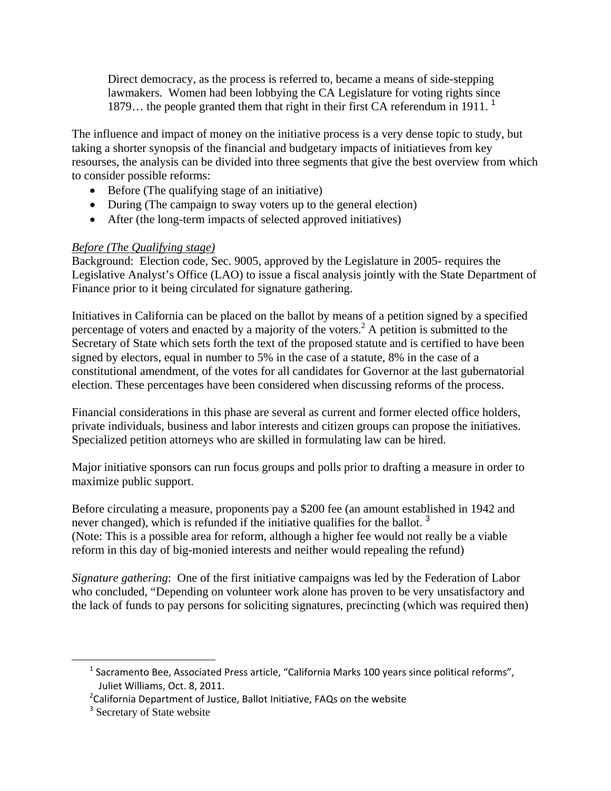Direct democracy, as the process is referred to, became a means of side-stepping lawmakers. Women had been lobbying the CA Legislature for voting rights since 1879... the people granted them that right in their first CA referendum in 1911.<sup>1</sup>

The influence and impact of money on the initiative process is a very dense topic to study, but taking a shorter synopsis of the financial and budgetary impacts of initiatieves from key resourses, the analysis can be divided into three segments that give the best overview from which to consider possible reforms:

- Before (The qualifying stage of an initiative)
- During (The campaign to sway voters up to the general election)
- After (the long-term impacts of selected approved initiatives)

### *Before (The Qualifying stage)*

Background: Election code, Sec. 9005, approved by the Legislature in 2005- requires the Legislative Analyst's Office (LAO) to issue a fiscal analysis jointly with the State Department of Finance prior to it being circulated for signature gathering.

Initiatives in California can be placed on the ballot by means of a petition signed by a specified percentage of voters and enacted by a majority of the voters.<sup>2</sup> A petition is submitted to the Secretary of State which sets forth the text of the proposed statute and is certified to have been signed by electors, equal in number to 5% in the case of a statute, 8% in the case of a constitutional amendment, of the votes for all candidates for Governor at the last gubernatorial election. These percentages have been considered when discussing reforms of the process.

Financial considerations in this phase are several as current and former elected office holders, private individuals, business and labor interests and citizen groups can propose the initiatives. Specialized petition attorneys who are skilled in formulating law can be hired.

Major initiative sponsors can run focus groups and polls prior to drafting a measure in order to maximize public support.

Before circulating a measure, proponents pay a \$200 fee (an amount established in 1942 and never changed), which is refunded if the initiative qualifies for the ballot.<sup>3</sup> (Note: This is a possible area for reform, although a higher fee would not really be a viable reform in this day of big-monied interests and neither would repealing the refund)

*Signature gathering*: One of the first initiative campaigns was led by the Federation of Labor who concluded, "Depending on volunteer work alone has proven to be very unsatisfactory and the lack of funds to pay persons for soliciting signatures, precincting (which was required then)

 $1$  Sacramento Bee, Associated Press article, "California Marks 100 years since political reforms", Juliet Williams, Oct. 8, 2011.

 $2$ California Department of Justice, Ballot Initiative, FAQs on the website

<sup>&</sup>lt;sup>3</sup> Secretary of State website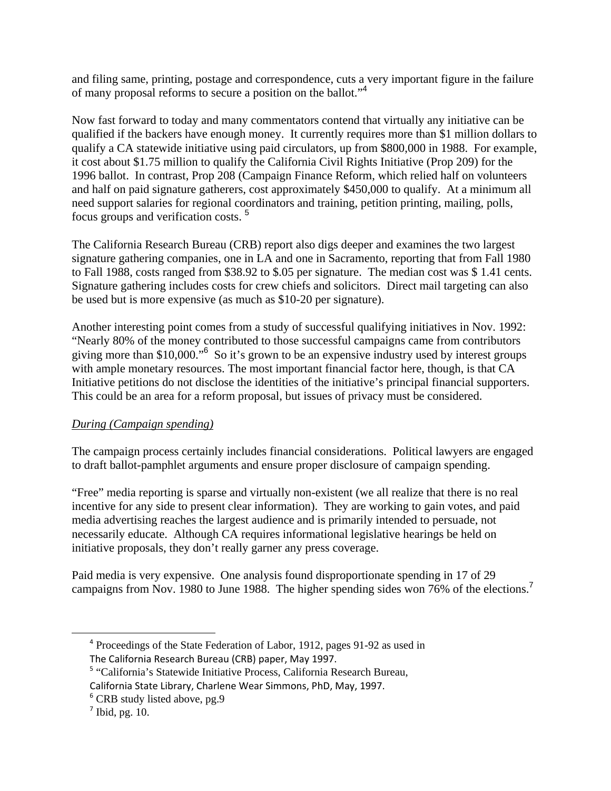and filing same, printing, postage and correspondence, cuts a very important figure in the failure of many proposal reforms to secure a position on the ballot."<sup>4</sup>

Now fast forward to today and many commentators contend that virtually any initiative can be qualified if the backers have enough money. It currently requires more than \$1 million dollars to qualify a CA statewide initiative using paid circulators, up from \$800,000 in 1988. For example, it cost about \$1.75 million to qualify the California Civil Rights Initiative (Prop 209) for the 1996 ballot. In contrast, Prop 208 (Campaign Finance Reform, which relied half on volunteers and half on paid signature gatherers, cost approximately \$450,000 to qualify. At a minimum all need support salaries for regional coordinators and training, petition printing, mailing, polls, focus groups and verification costs. <sup>5</sup>

The California Research Bureau (CRB) report also digs deeper and examines the two largest signature gathering companies, one in LA and one in Sacramento, reporting that from Fall 1980 to Fall 1988, costs ranged from \$38.92 to \$.05 per signature. The median cost was \$ 1.41 cents. Signature gathering includes costs for crew chiefs and solicitors. Direct mail targeting can also be used but is more expensive (as much as \$10-20 per signature).

Another interesting point comes from a study of successful qualifying initiatives in Nov. 1992: "Nearly 80% of the money contributed to those successful campaigns came from contributors giving more than \$10,000.<sup>"6</sup> So it's grown to be an expensive industry used by interest groups with ample monetary resources. The most important financial factor here, though, is that CA Initiative petitions do not disclose the identities of the initiative's principal financial supporters. This could be an area for a reform proposal, but issues of privacy must be considered.

### *During (Campaign spending)*

The campaign process certainly includes financial considerations. Political lawyers are engaged to draft ballot-pamphlet arguments and ensure proper disclosure of campaign spending.

"Free" media reporting is sparse and virtually non-existent (we all realize that there is no real incentive for any side to present clear information). They are working to gain votes, and paid media advertising reaches the largest audience and is primarily intended to persuade, not necessarily educate. Although CA requires informational legislative hearings be held on initiative proposals, they don't really garner any press coverage.

Paid media is very expensive. One analysis found disproportionate spending in 17 of 29 campaigns from Nov. 1980 to June 1988. The higher spending sides won 76% of the elections.<sup>7</sup>

<sup>&</sup>lt;sup>4</sup> Proceedings of the State Federation of Labor, 1912, pages 91-92 as used in The California Research Bureau (CRB) paper, May 1997.

<sup>&</sup>lt;sup>5</sup> "California's Statewide Initiative Process, California Research Bureau,

California State Library, Charlene Wear Simmons, PhD, May, 1997.

<sup>&</sup>lt;sup>6</sup> CRB study listed above, pg.9

 $<sup>7</sup>$  Ibid, pg. 10.</sup>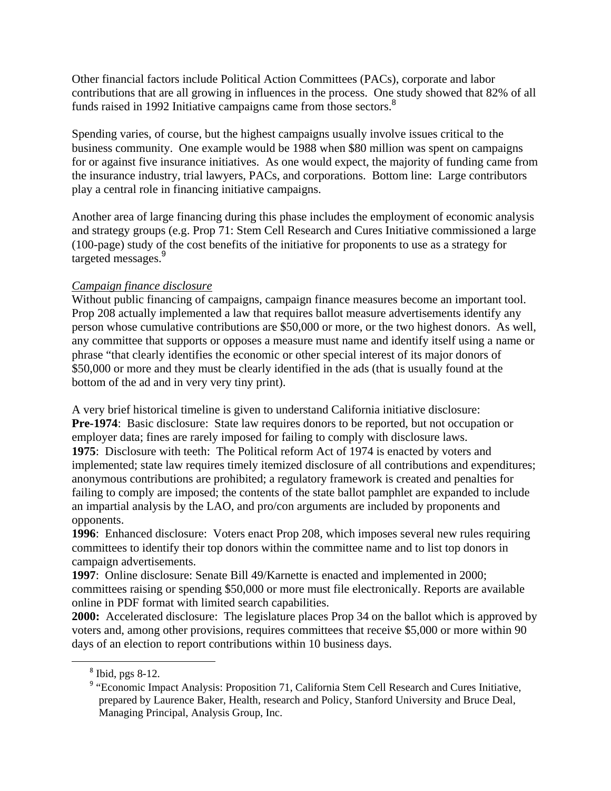Other financial factors include Political Action Committees (PACs), corporate and labor contributions that are all growing in influences in the process. One study showed that 82% of all funds raised in 1992 Initiative campaigns came from those sectors.<sup>8</sup>

Spending varies, of course, but the highest campaigns usually involve issues critical to the business community. One example would be 1988 when \$80 million was spent on campaigns for or against five insurance initiatives. As one would expect, the majority of funding came from the insurance industry, trial lawyers, PACs, and corporations. Bottom line: Large contributors play a central role in financing initiative campaigns.

Another area of large financing during this phase includes the employment of economic analysis and strategy groups (e.g. Prop 71: Stem Cell Research and Cures Initiative commissioned a large (100-page) study of the cost benefits of the initiative for proponents to use as a strategy for targeted messages.<sup>9</sup>

#### *Campaign finance disclosure*

Without public financing of campaigns, campaign finance measures become an important tool. Prop 208 actually implemented a law that requires ballot measure advertisements identify any person whose cumulative contributions are \$50,000 or more, or the two highest donors. As well, any committee that supports or opposes a measure must name and identify itself using a name or phrase "that clearly identifies the economic or other special interest of its major donors of \$50,000 or more and they must be clearly identified in the ads (that is usually found at the bottom of the ad and in very very tiny print).

A very brief historical timeline is given to understand California initiative disclosure: **Pre-1974**: Basic disclosure: State law requires donors to be reported, but not occupation or employer data; fines are rarely imposed for failing to comply with disclosure laws. **1975**: Disclosure with teeth: The Political reform Act of 1974 is enacted by voters and implemented; state law requires timely itemized disclosure of all contributions and expenditures; anonymous contributions are prohibited; a regulatory framework is created and penalties for failing to comply are imposed; the contents of the state ballot pamphlet are expanded to include an impartial analysis by the LAO, and pro/con arguments are included by proponents and opponents.

**1996**: Enhanced disclosure: Voters enact Prop 208, which imposes several new rules requiring committees to identify their top donors within the committee name and to list top donors in campaign advertisements.

**1997**: Online disclosure: Senate Bill 49/Karnette is enacted and implemented in 2000; committees raising or spending \$50,000 or more must file electronically. Reports are available online in PDF format with limited search capabilities.

**2000:** Accelerated disclosure: The legislature places Prop 34 on the ballot which is approved by voters and, among other provisions, requires committees that receive \$5,000 or more within 90 days of an election to report contributions within 10 business days.

<sup>&</sup>lt;sup>8</sup> Ibid, pgs 8-12.

<sup>&</sup>lt;sup>9</sup> "Economic Impact Analysis: Proposition 71, California Stem Cell Research and Cures Initiative, prepared by Laurence Baker, Health, research and Policy, Stanford University and Bruce Deal, Managing Principal, Analysis Group, Inc.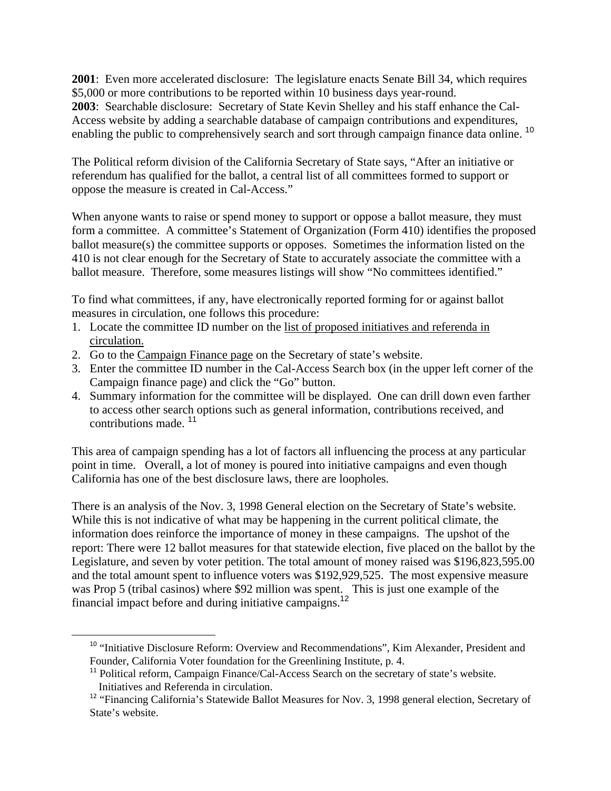**2001**: Even more accelerated disclosure: The legislature enacts Senate Bill 34, which requires \$5,000 or more contributions to be reported within 10 business days year-round. **2003**: Searchable disclosure: Secretary of State Kevin Shelley and his staff enhance the Cal-Access website by adding a searchable database of campaign contributions and expenditures, enabling the public to comprehensively search and sort through campaign finance data online.<sup>10</sup>

The Political reform division of the California Secretary of State says, "After an initiative or referendum has qualified for the ballot, a central list of all committees formed to support or oppose the measure is created in Cal-Access."

When anyone wants to raise or spend money to support or oppose a ballot measure, they must form a committee. A committee's Statement of Organization (Form 410) identifies the proposed ballot measure(s) the committee supports or opposes. Sometimes the information listed on the 410 is not clear enough for the Secretary of State to accurately associate the committee with a ballot measure. Therefore, some measures listings will show "No committees identified."

To find what committees, if any, have electronically reported forming for or against ballot measures in circulation, one follows this procedure:

- 1. Locate the committee ID number on the list of proposed initiatives and referenda in circulation.
- 2. Go to the Campaign Finance page on the Secretary of state's website.

 $\overline{a}$ 

- 3. Enter the committee ID number in the Cal-Access Search box (in the upper left corner of the Campaign finance page) and click the "Go" button.
- 4. Summary information for the committee will be displayed. One can drill down even farther to access other search options such as general information, contributions received, and contributions made. <sup>11</sup>

This area of campaign spending has a lot of factors all influencing the process at any particular point in time. Overall, a lot of money is poured into initiative campaigns and even though California has one of the best disclosure laws, there are loopholes.

There is an analysis of the Nov. 3, 1998 General election on the Secretary of State's website. While this is not indicative of what may be happening in the current political climate, the information does reinforce the importance of money in these campaigns. The upshot of the report: There were 12 ballot measures for that statewide election, five placed on the ballot by the Legislature, and seven by voter petition. The total amount of money raised was \$196,823,595.00 and the total amount spent to influence voters was \$192,929,525. The most expensive measure was Prop 5 (tribal casinos) where \$92 million was spent. This is just one example of the financial impact before and during initiative campaigns.<sup>12</sup>

<sup>&</sup>lt;sup>10</sup> "Initiative Disclosure Reform: Overview and Recommendations", Kim Alexander, President and Founder, California Voter foundation for the Greenlining Institute, p. 4.

<sup>&</sup>lt;sup>11</sup> Political reform, Campaign Finance/Cal-Access Search on the secretary of state's website. Initiatives and Referenda in circulation.

<sup>&</sup>lt;sup>12</sup> "Financing California's Statewide Ballot Measures for Nov. 3, 1998 general election, Secretary of State's website.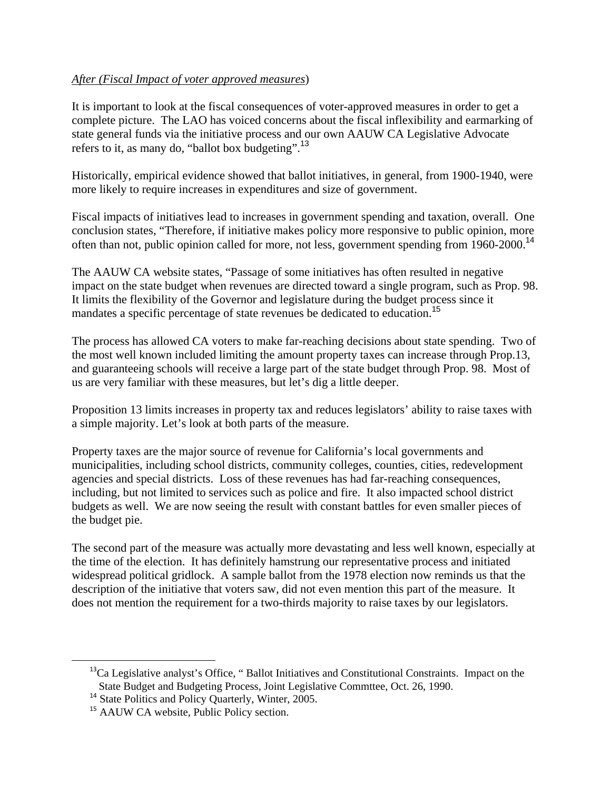#### *After (Fiscal Impact of voter approved measures*)

It is important to look at the fiscal consequences of voter-approved measures in order to get a complete picture. The LAO has voiced concerns about the fiscal inflexibility and earmarking of state general funds via the initiative process and our own AAUW CA Legislative Advocate refers to it, as many do, "ballot box budgeting".<sup>13</sup>

Historically, empirical evidence showed that ballot initiatives, in general, from 1900-1940, were more likely to require increases in expenditures and size of government.

Fiscal impacts of initiatives lead to increases in government spending and taxation, overall. One conclusion states, "Therefore, if initiative makes policy more responsive to public opinion, more often than not, public opinion called for more, not less, government spending from 1960-2000.<sup>14</sup>

The AAUW CA website states, "Passage of some initiatives has often resulted in negative impact on the state budget when revenues are directed toward a single program, such as Prop. 98. It limits the flexibility of the Governor and legislature during the budget process since it mandates a specific percentage of state revenues be dedicated to education.<sup>15</sup>

The process has allowed CA voters to make far-reaching decisions about state spending. Two of the most well known included limiting the amount property taxes can increase through Prop.13, and guaranteeing schools will receive a large part of the state budget through Prop. 98. Most of us are very familiar with these measures, but let's dig a little deeper.

Proposition 13 limits increases in property tax and reduces legislators' ability to raise taxes with a simple majority. Let's look at both parts of the measure.

Property taxes are the major source of revenue for California's local governments and municipalities, including school districts, community colleges, counties, cities, redevelopment agencies and special districts. Loss of these revenues has had far-reaching consequences, including, but not limited to services such as police and fire. It also impacted school district budgets as well. We are now seeing the result with constant battles for even smaller pieces of the budget pie.

The second part of the measure was actually more devastating and less well known, especially at the time of the election. It has definitely hamstrung our representative process and initiated widespread political gridlock. A sample ballot from the 1978 election now reminds us that the description of the initiative that voters saw, did not even mention this part of the measure. It does not mention the requirement for a two-thirds majority to raise taxes by our legislators.

1

 $<sup>13</sup>$ Ca Legislative analyst's Office, " Ballot Initiatives and Constitutional Constraints. Impact on the</sup> State Budget and Budgeting Process, Joint Legislative Commttee, Oct. 26, 1990.

<sup>&</sup>lt;sup>14</sup> State Politics and Policy Quarterly, Winter, 2005.

<sup>&</sup>lt;sup>15</sup> AAUW CA website, Public Policy section.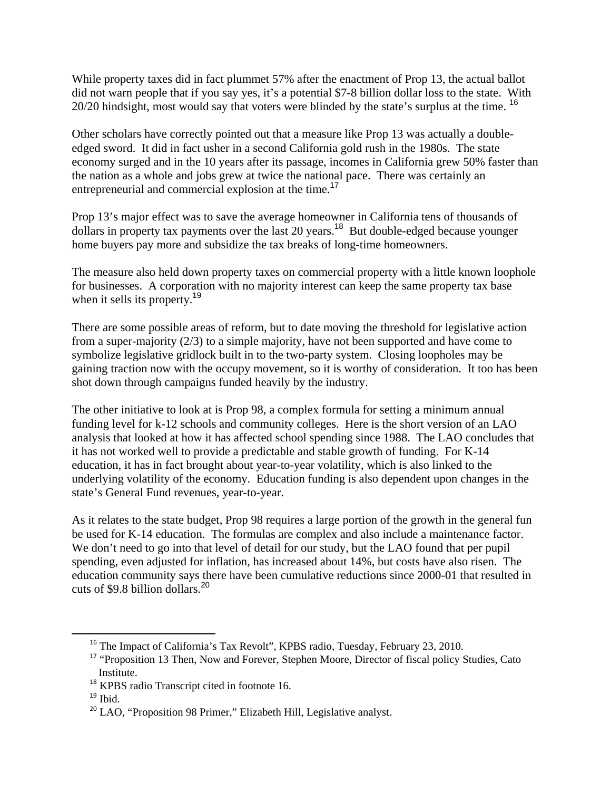While property taxes did in fact plummet 57% after the enactment of Prop 13, the actual ballot did not warn people that if you say yes, it's a potential \$7-8 billion dollar loss to the state. With 20/20 hindsight, most would say that voters were blinded by the state's surplus at the time. <sup>16</sup>

Other scholars have correctly pointed out that a measure like Prop 13 was actually a doubleedged sword. It did in fact usher in a second California gold rush in the 1980s. The state economy surged and in the 10 years after its passage, incomes in California grew 50% faster than the nation as a whole and jobs grew at twice the national pace. There was certainly an entrepreneurial and commercial explosion at the time.<sup>17</sup>

Prop 13's major effect was to save the average homeowner in California tens of thousands of dollars in property tax payments over the last 20 years.<sup>18</sup> But double-edged because younger home buyers pay more and subsidize the tax breaks of long-time homeowners.

The measure also held down property taxes on commercial property with a little known loophole for businesses. A corporation with no majority interest can keep the same property tax base when it sells its property.<sup>19</sup>

There are some possible areas of reform, but to date moving the threshold for legislative action from a super-majority (2/3) to a simple majority, have not been supported and have come to symbolize legislative gridlock built in to the two-party system. Closing loopholes may be gaining traction now with the occupy movement, so it is worthy of consideration. It too has been shot down through campaigns funded heavily by the industry.

The other initiative to look at is Prop 98, a complex formula for setting a minimum annual funding level for k-12 schools and community colleges. Here is the short version of an LAO analysis that looked at how it has affected school spending since 1988. The LAO concludes that it has not worked well to provide a predictable and stable growth of funding. For K-14 education, it has in fact brought about year-to-year volatility, which is also linked to the underlying volatility of the economy. Education funding is also dependent upon changes in the state's General Fund revenues, year-to-year.

As it relates to the state budget, Prop 98 requires a large portion of the growth in the general fun be used for K-14 education. The formulas are complex and also include a maintenance factor. We don't need to go into that level of detail for our study, but the LAO found that per pupil spending, even adjusted for inflation, has increased about 14%, but costs have also risen. The education community says there have been cumulative reductions since 2000-01 that resulted in cuts of \$9.8 billion dollars.<sup>20</sup>

<sup>&</sup>lt;sup>16</sup> The Impact of California's Tax Revolt", KPBS radio, Tuesday, February 23, 2010.

<sup>&</sup>lt;sup>17</sup> "Proposition 13 Then, Now and Forever, Stephen Moore, Director of fiscal policy Studies, Cato Institute.

<sup>&</sup>lt;sup>18</sup> KPBS radio Transcript cited in footnote 16.

 $19$  Ibid.

<sup>&</sup>lt;sup>20</sup> LAO, "Proposition 98 Primer," Elizabeth Hill, Legislative analyst.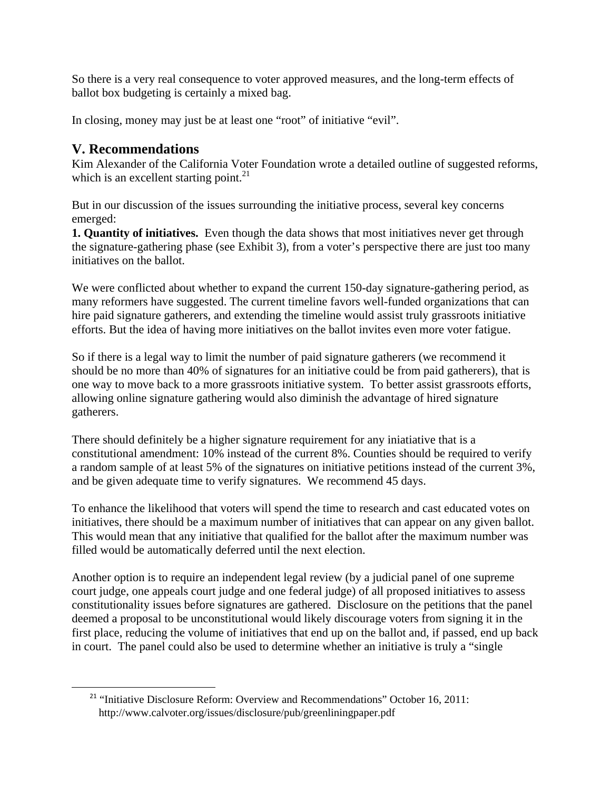So there is a very real consequence to voter approved measures, and the long-term effects of ballot box budgeting is certainly a mixed bag.

In closing, money may just be at least one "root" of initiative "evil".

## **V. Recommendations**

 $\overline{a}$ 

Kim Alexander of the California Voter Foundation wrote a detailed outline of suggested reforms, which is an excellent starting point. $^{21}$ 

But in our discussion of the issues surrounding the initiative process, several key concerns emerged:

**1. Quantity of initiatives.** Even though the data shows that most initiatives never get through the signature-gathering phase (see Exhibit 3), from a voter's perspective there are just too many initiatives on the ballot.

We were conflicted about whether to expand the current 150-day signature-gathering period, as many reformers have suggested. The current timeline favors well-funded organizations that can hire paid signature gatherers, and extending the timeline would assist truly grassroots initiative efforts. But the idea of having more initiatives on the ballot invites even more voter fatigue.

So if there is a legal way to limit the number of paid signature gatherers (we recommend it should be no more than 40% of signatures for an initiative could be from paid gatherers), that is one way to move back to a more grassroots initiative system. To better assist grassroots efforts, allowing online signature gathering would also diminish the advantage of hired signature gatherers.

There should definitely be a higher signature requirement for any iniatiative that is a constitutional amendment: 10% instead of the current 8%. Counties should be required to verify a random sample of at least 5% of the signatures on initiative petitions instead of the current 3%, and be given adequate time to verify signatures. We recommend 45 days.

To enhance the likelihood that voters will spend the time to research and cast educated votes on initiatives, there should be a maximum number of initiatives that can appear on any given ballot. This would mean that any initiative that qualified for the ballot after the maximum number was filled would be automatically deferred until the next election.

Another option is to require an independent legal review (by a judicial panel of one supreme court judge, one appeals court judge and one federal judge) of all proposed initiatives to assess constitutionality issues before signatures are gathered. Disclosure on the petitions that the panel deemed a proposal to be unconstitutional would likely discourage voters from signing it in the first place, reducing the volume of initiatives that end up on the ballot and, if passed, end up back in court. The panel could also be used to determine whether an initiative is truly a "single

<sup>&</sup>lt;sup>21</sup> "Initiative Disclosure Reform: Overview and Recommendations" October 16, 2011: http://www.calvoter.org/issues/disclosure/pub/greenliningpaper.pdf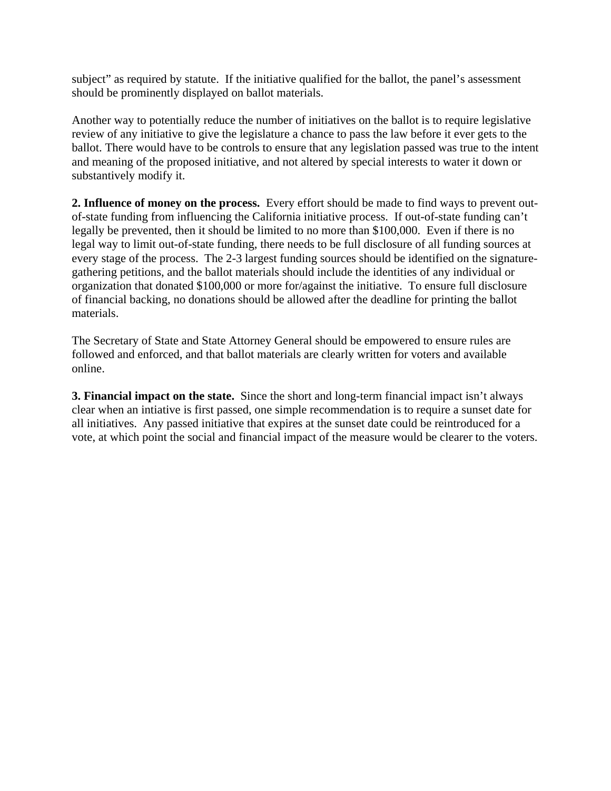subject" as required by statute. If the initiative qualified for the ballot, the panel's assessment should be prominently displayed on ballot materials.

Another way to potentially reduce the number of initiatives on the ballot is to require legislative review of any initiative to give the legislature a chance to pass the law before it ever gets to the ballot. There would have to be controls to ensure that any legislation passed was true to the intent and meaning of the proposed initiative, and not altered by special interests to water it down or substantively modify it.

**2. Influence of money on the process.** Every effort should be made to find ways to prevent outof-state funding from influencing the California initiative process. If out-of-state funding can't legally be prevented, then it should be limited to no more than \$100,000. Even if there is no legal way to limit out-of-state funding, there needs to be full disclosure of all funding sources at every stage of the process. The 2-3 largest funding sources should be identified on the signaturegathering petitions, and the ballot materials should include the identities of any individual or organization that donated \$100,000 or more for/against the initiative. To ensure full disclosure of financial backing, no donations should be allowed after the deadline for printing the ballot materials.

The Secretary of State and State Attorney General should be empowered to ensure rules are followed and enforced, and that ballot materials are clearly written for voters and available online.

**3. Financial impact on the state.** Since the short and long-term financial impact isn't always clear when an intiative is first passed, one simple recommendation is to require a sunset date for all initiatives. Any passed initiative that expires at the sunset date could be reintroduced for a vote, at which point the social and financial impact of the measure would be clearer to the voters.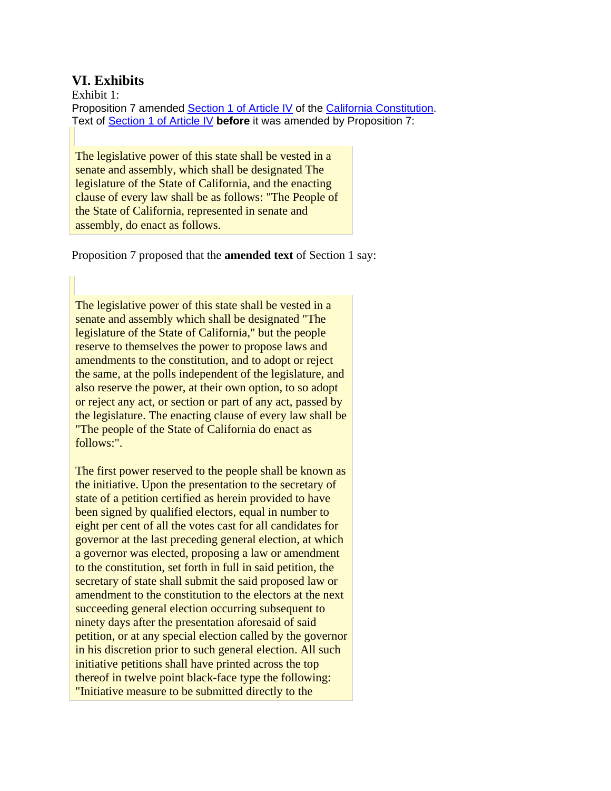### **VI. Exhibits**

Exhibit 1: Proposition 7 amended Section 1 of Article IV of the California Constitution. Text of Section 1 of Article IV **before** it was amended by Proposition 7:

The legislative power of this state shall be vested in a senate and assembly, which shall be designated The legislature of the State of California, and the enacting clause of every law shall be as follows: "The People of the State of California, represented in senate and assembly, do enact as follows.

Proposition 7 proposed that the **amended text** of Section 1 say:

The legislative power of this state shall be vested in a senate and assembly which shall be designated "The legislature of the State of California," but the people reserve to themselves the power to propose laws and amendments to the constitution, and to adopt or reject the same, at the polls independent of the legislature, and also reserve the power, at their own option, to so adopt or reject any act, or section or part of any act, passed by the legislature. The enacting clause of every law shall be "The people of the State of California do enact as follows:".

The first power reserved to the people shall be known as the initiative. Upon the presentation to the secretary of state of a petition certified as herein provided to have been signed by qualified electors, equal in number to eight per cent of all the votes cast for all candidates for governor at the last preceding general election, at which a governor was elected, proposing a law or amendment to the constitution, set forth in full in said petition, the secretary of state shall submit the said proposed law or amendment to the constitution to the electors at the next succeeding general election occurring subsequent to ninety days after the presentation aforesaid of said petition, or at any special election called by the governor in his discretion prior to such general election. All such initiative petitions shall have printed across the top thereof in twelve point black-face type the following: "Initiative measure to be submitted directly to the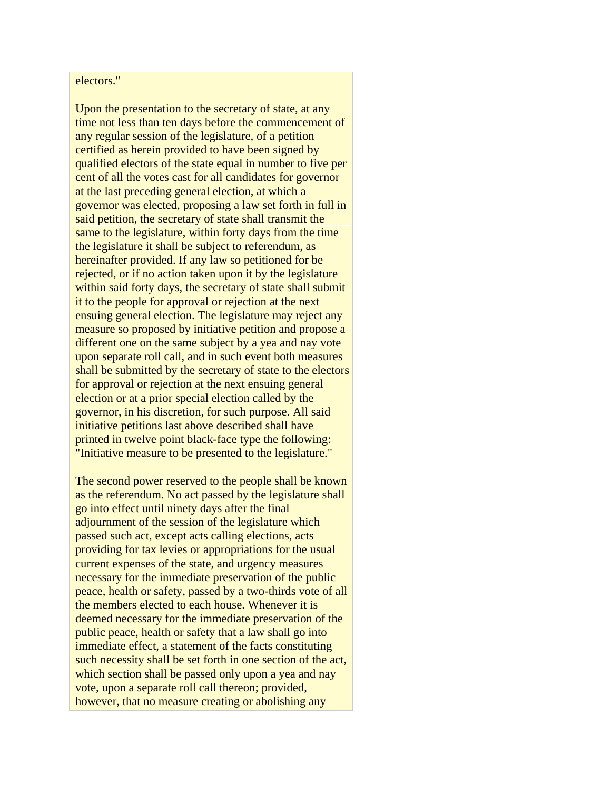#### electors."

Upon the presentation to the secretary of state, at any time not less than ten days before the commencement of any regular session of the legislature, of a petition certified as herein provided to have been signed by qualified electors of the state equal in number to five per cent of all the votes cast for all candidates for governor at the last preceding general election, at which a governor was elected, proposing a law set forth in full in said petition, the secretary of state shall transmit the same to the legislature, within forty days from the time the legislature it shall be subject to referendum, as hereinafter provided. If any law so petitioned for be rejected, or if no action taken upon it by the legislature within said forty days, the secretary of state shall submit it to the people for approval or rejection at the next ensuing general election. The legislature may reject any measure so proposed by initiative petition and propose a different one on the same subject by a yea and nay vote upon separate roll call, and in such event both measures shall be submitted by the secretary of state to the electors for approval or rejection at the next ensuing general election or at a prior special election called by the governor, in his discretion, for such purpose. All said initiative petitions last above described shall have printed in twelve point black-face type the following: "Initiative measure to be presented to the legislature."

The second power reserved to the people shall be known as the referendum. No act passed by the legislature shall go into effect until ninety days after the final adjournment of the session of the legislature which passed such act, except acts calling elections, acts providing for tax levies or appropriations for the usual current expenses of the state, and urgency measures necessary for the immediate preservation of the public peace, health or safety, passed by a two-thirds vote of all the members elected to each house. Whenever it is deemed necessary for the immediate preservation of the public peace, health or safety that a law shall go into immediate effect, a statement of the facts constituting such necessity shall be set forth in one section of the act, which section shall be passed only upon a yea and nay vote, upon a separate roll call thereon; provided, however, that no measure creating or abolishing any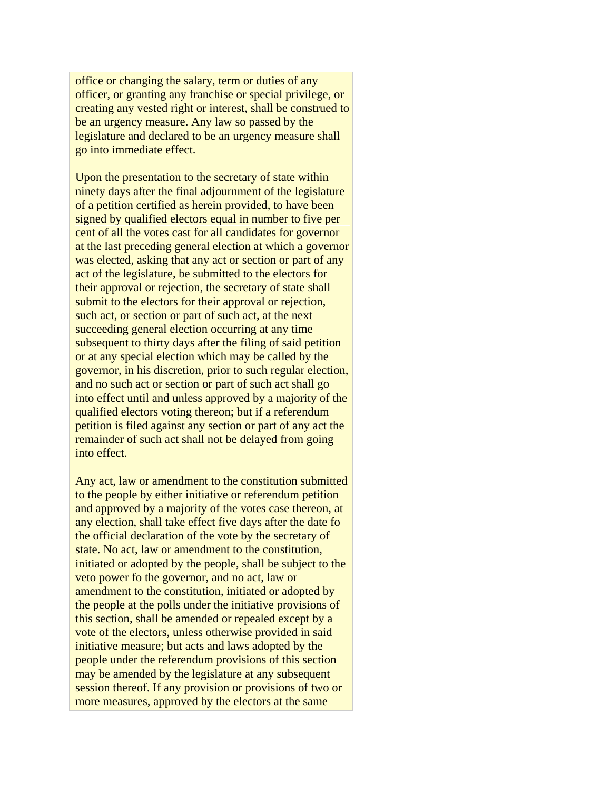office or changing the salary, term or duties of any officer, or granting any franchise or special privilege, or creating any vested right or interest, shall be construed to be an urgency measure. Any law so passed by the legislature and declared to be an urgency measure shall go into immediate effect.

Upon the presentation to the secretary of state within ninety days after the final adjournment of the legislature of a petition certified as herein provided, to have been signed by qualified electors equal in number to five per cent of all the votes cast for all candidates for governor at the last preceding general election at which a governor was elected, asking that any act or section or part of any act of the legislature, be submitted to the electors for their approval or rejection, the secretary of state shall submit to the electors for their approval or rejection, such act, or section or part of such act, at the next succeeding general election occurring at any time subsequent to thirty days after the filing of said petition or at any special election which may be called by the governor, in his discretion, prior to such regular election, and no such act or section or part of such act shall go into effect until and unless approved by a majority of the qualified electors voting thereon; but if a referendum petition is filed against any section or part of any act the remainder of such act shall not be delayed from going into effect.

Any act, law or amendment to the constitution submitted to the people by either initiative or referendum petition and approved by a majority of the votes case thereon, at any election, shall take effect five days after the date fo the official declaration of the vote by the secretary of state. No act, law or amendment to the constitution, initiated or adopted by the people, shall be subject to the veto power fo the governor, and no act, law or amendment to the constitution, initiated or adopted by the people at the polls under the initiative provisions of this section, shall be amended or repealed except by a vote of the electors, unless otherwise provided in said initiative measure; but acts and laws adopted by the people under the referendum provisions of this section may be amended by the legislature at any subsequent session thereof. If any provision or provisions of two or more measures, approved by the electors at the same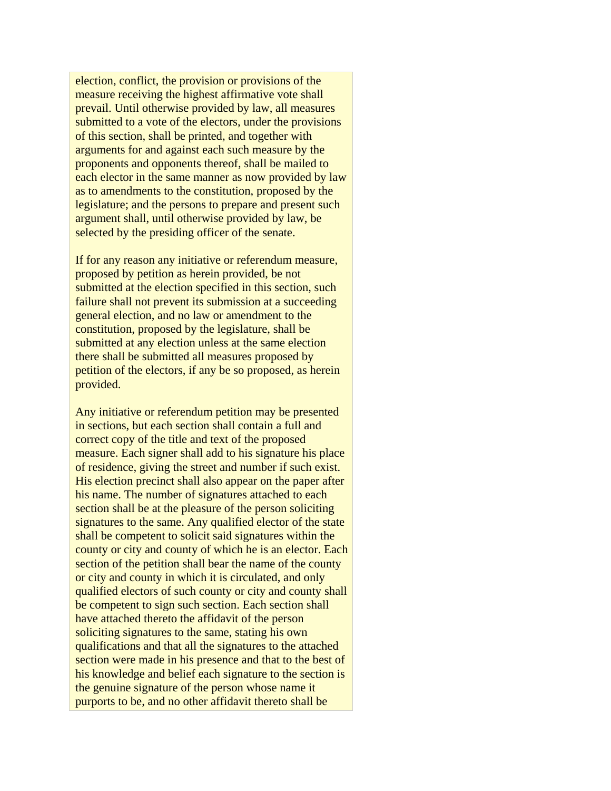election, conflict, the provision or provisions of the measure receiving the highest affirmative vote shall prevail. Until otherwise provided by law, all measures submitted to a vote of the electors, under the provisions of this section, shall be printed, and together with arguments for and against each such measure by the proponents and opponents thereof, shall be mailed to each elector in the same manner as now provided by law as to amendments to the constitution, proposed by the legislature; and the persons to prepare and present such argument shall, until otherwise provided by law, be selected by the presiding officer of the senate.

If for any reason any initiative or referendum measure, proposed by petition as herein provided, be not submitted at the election specified in this section, such failure shall not prevent its submission at a succeeding general election, and no law or amendment to the constitution, proposed by the legislature, shall be submitted at any election unless at the same election there shall be submitted all measures proposed by petition of the electors, if any be so proposed, as herein provided.

Any initiative or referendum petition may be presented in sections, but each section shall contain a full and correct copy of the title and text of the proposed measure. Each signer shall add to his signature his place of residence, giving the street and number if such exist. His election precinct shall also appear on the paper after his name. The number of signatures attached to each section shall be at the pleasure of the person soliciting signatures to the same. Any qualified elector of the state shall be competent to solicit said signatures within the county or city and county of which he is an elector. Each section of the petition shall bear the name of the county or city and county in which it is circulated, and only qualified electors of such county or city and county shall be competent to sign such section. Each section shall have attached thereto the affidavit of the person soliciting signatures to the same, stating his own qualifications and that all the signatures to the attached section were made in his presence and that to the best of his knowledge and belief each signature to the section is the genuine signature of the person whose name it purports to be, and no other affidavit thereto shall be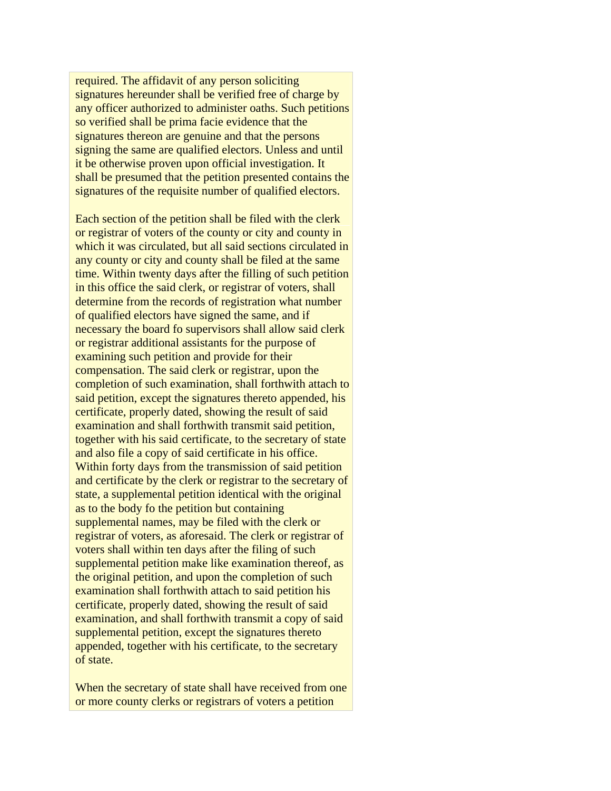required. The affidavit of any person soliciting signatures hereunder shall be verified free of charge by any officer authorized to administer oaths. Such petitions so verified shall be prima facie evidence that the signatures thereon are genuine and that the persons signing the same are qualified electors. Unless and until it be otherwise proven upon official investigation. It shall be presumed that the petition presented contains the signatures of the requisite number of qualified electors.

Each section of the petition shall be filed with the clerk or registrar of voters of the county or city and county in which it was circulated, but all said sections circulated in any county or city and county shall be filed at the same time. Within twenty days after the filling of such petition in this office the said clerk, or registrar of voters, shall determine from the records of registration what number of qualified electors have signed the same, and if necessary the board fo supervisors shall allow said clerk or registrar additional assistants for the purpose of examining such petition and provide for their compensation. The said clerk or registrar, upon the completion of such examination, shall forthwith attach to said petition, except the signatures thereto appended, his certificate, properly dated, showing the result of said examination and shall forthwith transmit said petition, together with his said certificate, to the secretary of state and also file a copy of said certificate in his office. Within forty days from the transmission of said petition and certificate by the clerk or registrar to the secretary of state, a supplemental petition identical with the original as to the body fo the petition but containing supplemental names, may be filed with the clerk or registrar of voters, as aforesaid. The clerk or registrar of voters shall within ten days after the filing of such supplemental petition make like examination thereof, as the original petition, and upon the completion of such examination shall forthwith attach to said petition his certificate, properly dated, showing the result of said examination, and shall forthwith transmit a copy of said supplemental petition, except the signatures thereto appended, together with his certificate, to the secretary of state.

When the secretary of state shall have received from one or more county clerks or registrars of voters a petition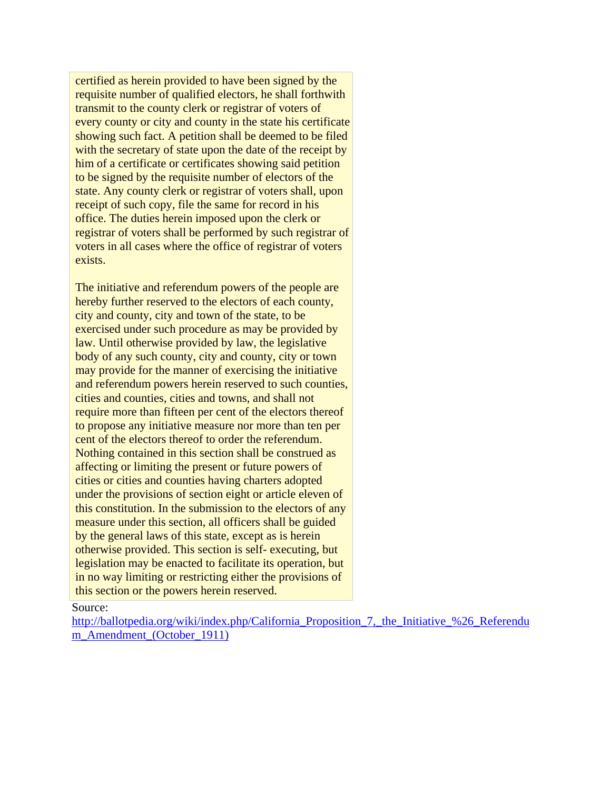certified as herein provided to have been signed by the requisite number of qualified electors, he shall forthwith transmit to the county clerk or registrar of voters of every county or city and county in the state his certificate showing such fact. A petition shall be deemed to be filed with the secretary of state upon the date of the receipt by him of a certificate or certificates showing said petition to be signed by the requisite number of electors of the state. Any county clerk or registrar of voters shall, upon receipt of such copy, file the same for record in his office. The duties herein imposed upon the clerk or registrar of voters shall be performed by such registrar of voters in all cases where the office of registrar of voters exists.

The initiative and referendum powers of the people are hereby further reserved to the electors of each county, city and county, city and town of the state, to be exercised under such procedure as may be provided by law. Until otherwise provided by law, the legislative body of any such county, city and county, city or town may provide for the manner of exercising the initiative and referendum powers herein reserved to such counties, cities and counties, cities and towns, and shall not require more than fifteen per cent of the electors thereof to propose any initiative measure nor more than ten per cent of the electors thereof to order the referendum. Nothing contained in this section shall be construed as affecting or limiting the present or future powers of cities or cities and counties having charters adopted under the provisions of section eight or article eleven of this constitution. In the submission to the electors of any measure under this section, all officers shall be guided by the general laws of this state, except as is herein otherwise provided. This section is self- executing, but legislation may be enacted to facilitate its operation, but in no way limiting or restricting either the provisions of this section or the powers herein reserved.

Source:

http://ballotpedia.org/wiki/index.php/California\_Proposition\_7,\_the\_Initiative\_%26\_Referendu m\_Amendment (October 1911)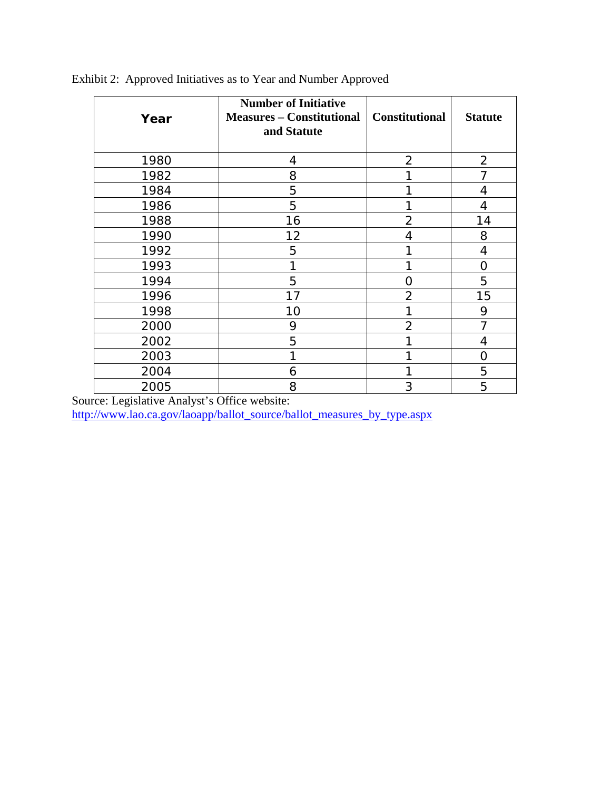| Year | <b>Number of Initiative</b><br><b>Measures – Constitutional</b><br>and Statute | <b>Constitutional</b> | <b>Statute</b> |
|------|--------------------------------------------------------------------------------|-----------------------|----------------|
| 1980 | 4                                                                              | $\overline{2}$        | $\overline{2}$ |
| 1982 | 8                                                                              |                       | 7              |
| 1984 | 5                                                                              |                       | 4              |
| 1986 | 5                                                                              |                       | 4              |
| 1988 | 16                                                                             | $\overline{2}$        | 14             |
| 1990 | 12                                                                             | 4                     | 8              |
| 1992 | 5                                                                              |                       | 4              |
| 1993 | 1                                                                              | 1                     | O              |
| 1994 | 5                                                                              | O                     | 5              |
| 1996 | 17                                                                             | $\overline{2}$        | 15             |
| 1998 | 10                                                                             |                       | 9              |
| 2000 | 9                                                                              | $\overline{2}$        |                |
| 2002 | 5                                                                              |                       | 4              |
| 2003 | 1                                                                              |                       | O              |
| 2004 | 6                                                                              |                       | 5              |
| 2005 | 8                                                                              | 3                     | 5              |

Exhibit 2: Approved Initiatives as to Year and Number Approved

Source: Legislative Analyst's Office website:

http://www.lao.ca.gov/laoapp/ballot\_source/ballot\_measures\_by\_type.aspx